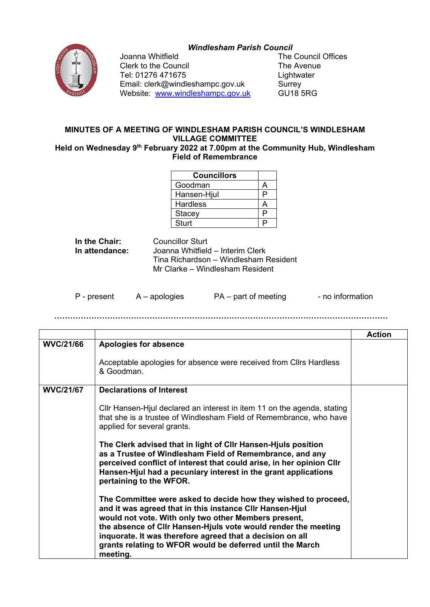## *Windlesham Parish Council*



Joanna Whitfield<br>Clerk to the Council **The Avenue**<br>The Avenue Clerk to the Council The Avenue Tel: 01276 471675<br>Email: clerk@windleshampc.gov.uk Surrey Email: clerk@windleshampc.gov.uk Surrey<br>
Website: www.windleshampc.gov.uk GU18 5RG Website: www.windleshampc.gov.uk

## **MINUTES OF A MEETING OF WINDLESHAM PARISH COUNCIL'S WINDLESHAM VILLAGE COMMITTEE**

**Held on Wednesday 9th February 2022 at 7.00pm at the Community Hub, Windlesham Field of Remembrance**

| <b>Councillors</b> |   |
|--------------------|---|
| Goodman            |   |
| Hansen-Hjul        | D |
| <b>Hardless</b>    |   |
| Stacey             | ◻ |
| <b>Sturt</b>       |   |

**In the Chair:** Councillor Sturt<br> **In attendance:** Joanna Whitfield **In attendance:** Joanna Whitfield – Interim Clerk Tina Richardson – Windlesham Resident Mr Clarke – Windlesham Resident

P - present A – apologies PA – part of meeting - no information

**………………………………………………………………………………………………………………**

|                  |                                                                                                                                                                                                                                                                                                                   | <b>Action</b> |
|------------------|-------------------------------------------------------------------------------------------------------------------------------------------------------------------------------------------------------------------------------------------------------------------------------------------------------------------|---------------|
| <b>WVC/21/66</b> | <b>Apologies for absence</b>                                                                                                                                                                                                                                                                                      |               |
|                  | Acceptable apologies for absence were received from Cllrs Hardless<br>& Goodman.                                                                                                                                                                                                                                  |               |
| <b>WVC/21/67</b> | <b>Declarations of Interest</b>                                                                                                                                                                                                                                                                                   |               |
|                  | CIIr Hansen-Hjul declared an interest in item 11 on the agenda, stating<br>that she is a trustee of Windlesham Field of Remembrance, who have<br>applied for several grants.                                                                                                                                      |               |
|                  | The Clerk advised that in light of CIIr Hansen-Hjuls position<br>as a Trustee of Windlesham Field of Remembrance, and any<br>perceived conflict of interest that could arise, in her opinion Cllr<br>Hansen-Hjul had a pecuniary interest in the grant applications<br>pertaining to the WFOR.                    |               |
|                  | The Committee were asked to decide how they wished to proceed,<br>and it was agreed that in this instance CIIr Hansen-Hjul<br>would not vote. With only two other Members present,<br>the absence of Cllr Hansen-Hjuls vote would render the meeting<br>inquorate. It was therefore agreed that a decision on all |               |
|                  | grants relating to WFOR would be deferred until the March<br>meeting.                                                                                                                                                                                                                                             |               |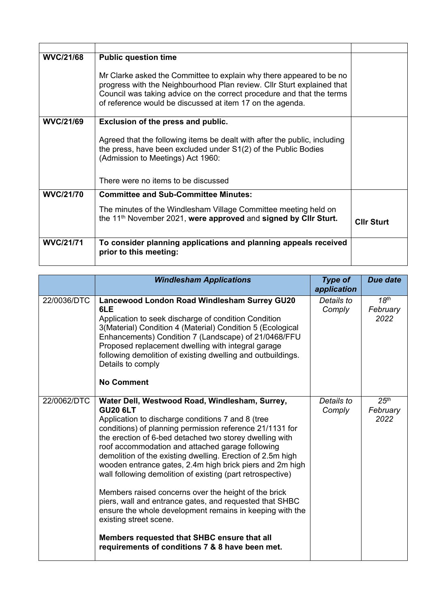| <b>WVC/21/68</b> | <b>Public question time</b>                                                                                                                                                                                                                                                          |                   |
|------------------|--------------------------------------------------------------------------------------------------------------------------------------------------------------------------------------------------------------------------------------------------------------------------------------|-------------------|
|                  | Mr Clarke asked the Committee to explain why there appeared to be no<br>progress with the Neighbourhood Plan review. Cllr Sturt explained that<br>Council was taking advice on the correct procedure and that the terms<br>of reference would be discussed at item 17 on the agenda. |                   |
| <b>WVC/21/69</b> | Exclusion of the press and public.                                                                                                                                                                                                                                                   |                   |
|                  | Agreed that the following items be dealt with after the public, including<br>the press, have been excluded under S1(2) of the Public Bodies<br>(Admission to Meetings) Act 1960:                                                                                                     |                   |
|                  | There were no items to be discussed                                                                                                                                                                                                                                                  |                   |
| <b>WVC/21/70</b> | <b>Committee and Sub-Committee Minutes:</b>                                                                                                                                                                                                                                          |                   |
|                  | The minutes of the Windlesham Village Committee meeting held on<br>the 11 <sup>th</sup> November 2021, were approved and signed by Clir Sturt.                                                                                                                                       | <b>CIIr Sturt</b> |
| <b>WVC/21/71</b> | To consider planning applications and planning appeals received<br>prior to this meeting:                                                                                                                                                                                            |                   |

|             | <b>Windlesham Applications</b>                                                                                                                                                                                                                                                                                                                                                                                                                                                                                                                                                                                                                                                                                                                                                                       | <b>Type of</b><br>application | <b>Due date</b>                      |
|-------------|------------------------------------------------------------------------------------------------------------------------------------------------------------------------------------------------------------------------------------------------------------------------------------------------------------------------------------------------------------------------------------------------------------------------------------------------------------------------------------------------------------------------------------------------------------------------------------------------------------------------------------------------------------------------------------------------------------------------------------------------------------------------------------------------------|-------------------------------|--------------------------------------|
| 22/0036/DTC | Lancewood London Road Windlesham Surrey GU20<br>6LE<br>Application to seek discharge of condition Condition<br>3(Material) Condition 4 (Material) Condition 5 (Ecological<br>Enhancements) Condition 7 (Landscape) of 21/0468/FFU<br>Proposed replacement dwelling with integral garage<br>following demolition of existing dwelling and outbuildings.<br>Details to comply<br><b>No Comment</b>                                                                                                                                                                                                                                                                                                                                                                                                     | Details to<br>Comply          | 18 <sup>th</sup><br>February<br>2022 |
| 22/0062/DTC | Water Dell, Westwood Road, Windlesham, Surrey,<br><b>GU20 6LT</b><br>Application to discharge conditions 7 and 8 (tree<br>conditions) of planning permission reference 21/1131 for<br>the erection of 6-bed detached two storey dwelling with<br>roof accommodation and attached garage following<br>demolition of the existing dwelling. Erection of 2.5m high<br>wooden entrance gates, 2.4m high brick piers and 2m high<br>wall following demolition of existing (part retrospective)<br>Members raised concerns over the height of the brick<br>piers, wall and entrance gates, and requested that SHBC<br>ensure the whole development remains in keeping with the<br>existing street scene.<br>Members requested that SHBC ensure that all<br>requirements of conditions 7 & 8 have been met. | Details to<br>Comply          | 25 <sup>th</sup><br>February<br>2022 |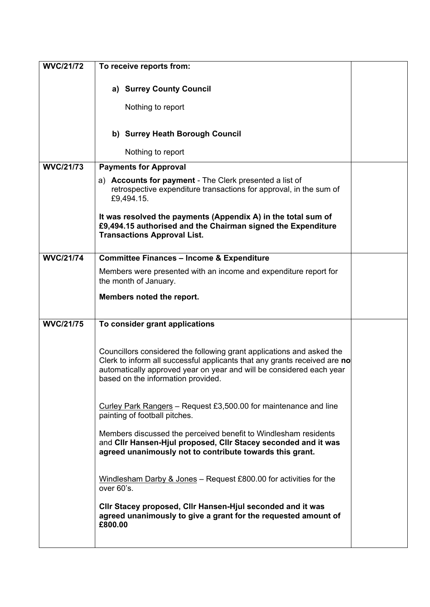| <b>WVC/21/72</b> | To receive reports from:                                                                                                                                                                                                                                         |  |
|------------------|------------------------------------------------------------------------------------------------------------------------------------------------------------------------------------------------------------------------------------------------------------------|--|
|                  | a) Surrey County Council                                                                                                                                                                                                                                         |  |
|                  | Nothing to report                                                                                                                                                                                                                                                |  |
|                  | b) Surrey Heath Borough Council                                                                                                                                                                                                                                  |  |
|                  | Nothing to report                                                                                                                                                                                                                                                |  |
| <b>WVC/21/73</b> | <b>Payments for Approval</b>                                                                                                                                                                                                                                     |  |
|                  | a) Accounts for payment - The Clerk presented a list of<br>retrospective expenditure transactions for approval, in the sum of<br>£9,494.15.                                                                                                                      |  |
|                  | It was resolved the payments (Appendix A) in the total sum of<br>£9,494.15 authorised and the Chairman signed the Expenditure<br><b>Transactions Approval List.</b>                                                                                              |  |
| <b>WVC/21/74</b> | <b>Committee Finances - Income &amp; Expenditure</b>                                                                                                                                                                                                             |  |
|                  | Members were presented with an income and expenditure report for<br>the month of January.                                                                                                                                                                        |  |
|                  | Members noted the report.                                                                                                                                                                                                                                        |  |
| <b>WVC/21/75</b> | To consider grant applications                                                                                                                                                                                                                                   |  |
|                  | Councillors considered the following grant applications and asked the<br>Clerk to inform all successful applicants that any grants received are no<br>automatically approved year on year and will be considered each year<br>based on the information provided. |  |
|                  | Curley Park Rangers – Request £3,500.00 for maintenance and line<br>painting of football pitches.                                                                                                                                                                |  |
|                  | Members discussed the perceived benefit to Windlesham residents<br>and CIIr Hansen-Hjul proposed, CIIr Stacey seconded and it was<br>agreed unanimously not to contribute towards this grant.                                                                    |  |
|                  | Windlesham Darby & Jones $-$ Request £800.00 for activities for the<br>over 60's.                                                                                                                                                                                |  |
|                  | Clir Stacey proposed, Clir Hansen-Hjul seconded and it was<br>agreed unanimously to give a grant for the requested amount of<br>£800.00                                                                                                                          |  |
|                  |                                                                                                                                                                                                                                                                  |  |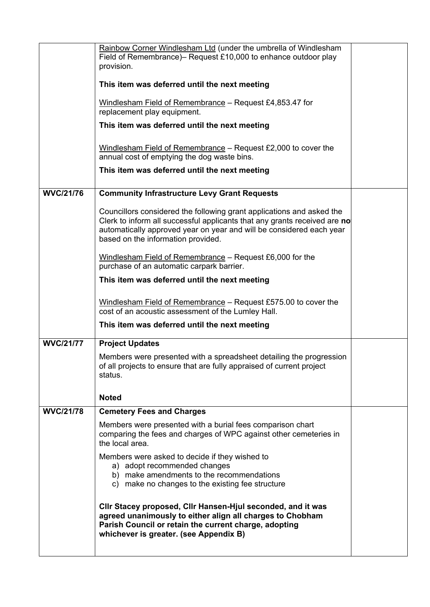|                  | Rainbow Corner Windlesham Ltd (under the umbrella of Windlesham<br>Field of Remembrance)- Request £10,000 to enhance outdoor play<br>provision.                                                                                                                  |  |
|------------------|------------------------------------------------------------------------------------------------------------------------------------------------------------------------------------------------------------------------------------------------------------------|--|
|                  | This item was deferred until the next meeting                                                                                                                                                                                                                    |  |
|                  | Windlesham Field of Remembrance - Request £4,853.47 for<br>replacement play equipment.                                                                                                                                                                           |  |
|                  | This item was deferred until the next meeting                                                                                                                                                                                                                    |  |
|                  | Windlesham Field of Remembrance $-$ Request £2,000 to cover the<br>annual cost of emptying the dog waste bins.                                                                                                                                                   |  |
|                  | This item was deferred until the next meeting                                                                                                                                                                                                                    |  |
| <b>WVC/21/76</b> | <b>Community Infrastructure Levy Grant Requests</b>                                                                                                                                                                                                              |  |
|                  | Councillors considered the following grant applications and asked the<br>Clerk to inform all successful applicants that any grants received are no<br>automatically approved year on year and will be considered each year<br>based on the information provided. |  |
|                  | Windlesham Field of Remembrance - Request £6,000 for the<br>purchase of an automatic carpark barrier.                                                                                                                                                            |  |
|                  | This item was deferred until the next meeting                                                                                                                                                                                                                    |  |
|                  | Windlesham Field of Remembrance - Request £575.00 to cover the<br>cost of an acoustic assessment of the Lumley Hall.                                                                                                                                             |  |
|                  | This item was deferred until the next meeting                                                                                                                                                                                                                    |  |
| <b>WVC/21/77</b> | <b>Project Updates</b>                                                                                                                                                                                                                                           |  |
|                  | Members were presented with a spreadsheet detailing the progression<br>of all projects to ensure that are fully appraised of current project<br>status.                                                                                                          |  |
|                  | <b>Noted</b>                                                                                                                                                                                                                                                     |  |
| <b>WVC/21/78</b> | <b>Cemetery Fees and Charges</b>                                                                                                                                                                                                                                 |  |
|                  | Members were presented with a burial fees comparison chart<br>comparing the fees and charges of WPC against other cemeteries in<br>the local area.                                                                                                               |  |
|                  | Members were asked to decide if they wished to<br>a) adopt recommended changes<br>b) make amendments to the recommendations<br>c) make no changes to the existing fee structure                                                                                  |  |
|                  | Cllr Stacey proposed, Cllr Hansen-Hjul seconded, and it was<br>agreed unanimously to either align all charges to Chobham<br>Parish Council or retain the current charge, adopting<br>whichever is greater. (see Appendix B)                                      |  |
|                  |                                                                                                                                                                                                                                                                  |  |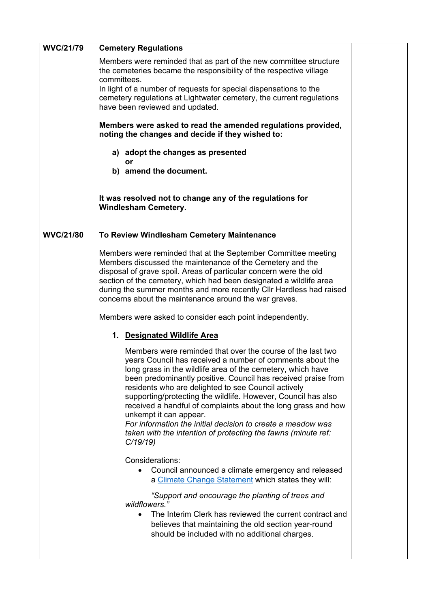| <b>WVC/21/79</b> | <b>Cemetery Regulations</b>                                                                                                                                                                                                                                                                                                                                                                                                                                                                                                                                                                                                                                                                                                                                                                                                                                                                                                                                                                                                                                                                                               |  |
|------------------|---------------------------------------------------------------------------------------------------------------------------------------------------------------------------------------------------------------------------------------------------------------------------------------------------------------------------------------------------------------------------------------------------------------------------------------------------------------------------------------------------------------------------------------------------------------------------------------------------------------------------------------------------------------------------------------------------------------------------------------------------------------------------------------------------------------------------------------------------------------------------------------------------------------------------------------------------------------------------------------------------------------------------------------------------------------------------------------------------------------------------|--|
|                  | Members were reminded that as part of the new committee structure<br>the cemeteries became the responsibility of the respective village<br>committees.<br>In light of a number of requests for special dispensations to the<br>cemetery regulations at Lightwater cemetery, the current regulations<br>have been reviewed and updated.                                                                                                                                                                                                                                                                                                                                                                                                                                                                                                                                                                                                                                                                                                                                                                                    |  |
|                  | Members were asked to read the amended regulations provided,<br>noting the changes and decide if they wished to:                                                                                                                                                                                                                                                                                                                                                                                                                                                                                                                                                                                                                                                                                                                                                                                                                                                                                                                                                                                                          |  |
|                  | a) adopt the changes as presented<br>or                                                                                                                                                                                                                                                                                                                                                                                                                                                                                                                                                                                                                                                                                                                                                                                                                                                                                                                                                                                                                                                                                   |  |
|                  | b) amend the document.                                                                                                                                                                                                                                                                                                                                                                                                                                                                                                                                                                                                                                                                                                                                                                                                                                                                                                                                                                                                                                                                                                    |  |
|                  | It was resolved not to change any of the regulations for<br><b>Windlesham Cemetery.</b>                                                                                                                                                                                                                                                                                                                                                                                                                                                                                                                                                                                                                                                                                                                                                                                                                                                                                                                                                                                                                                   |  |
| <b>WVC/21/80</b> | To Review Windlesham Cemetery Maintenance                                                                                                                                                                                                                                                                                                                                                                                                                                                                                                                                                                                                                                                                                                                                                                                                                                                                                                                                                                                                                                                                                 |  |
|                  | Members were reminded that at the September Committee meeting<br>Members discussed the maintenance of the Cemetery and the<br>disposal of grave spoil. Areas of particular concern were the old<br>section of the cemetery, which had been designated a wildlife area<br>during the summer months and more recently CIIr Hardless had raised<br>concerns about the maintenance around the war graves.<br>Members were asked to consider each point independently.<br>1. Designated Wildlife Area<br>Members were reminded that over the course of the last two<br>years Council has received a number of comments about the<br>long grass in the wildlife area of the cemetery, which have<br>been predominantly positive. Council has received praise from<br>residents who are delighted to see Council actively<br>supporting/protecting the wildlife. However, Council has also<br>received a handful of complaints about the long grass and how<br>unkempt it can appear.<br>For information the initial decision to create a meadow was<br>taken with the intention of protecting the fawns (minute ref:<br>C/19/19 |  |
|                  | Considerations:<br>Council announced a climate emergency and released<br>$\bullet$<br>a Climate Change Statement which states they will:<br>"Support and encourage the planting of trees and<br>wildflowers."<br>The Interim Clerk has reviewed the current contract and<br>$\bullet$<br>believes that maintaining the old section year-round<br>should be included with no additional charges.                                                                                                                                                                                                                                                                                                                                                                                                                                                                                                                                                                                                                                                                                                                           |  |
|                  |                                                                                                                                                                                                                                                                                                                                                                                                                                                                                                                                                                                                                                                                                                                                                                                                                                                                                                                                                                                                                                                                                                                           |  |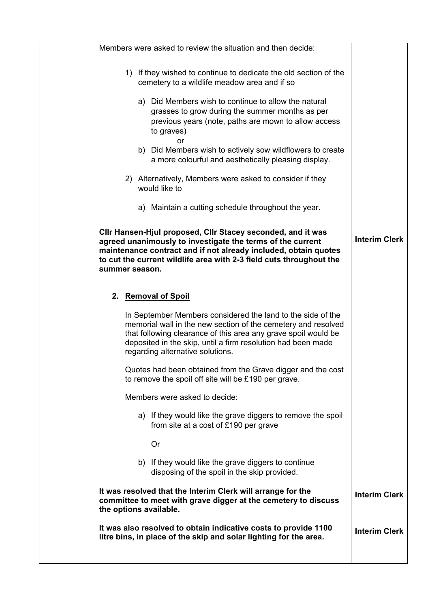| Members were asked to review the situation and then decide:                                                                                                                                                                                                                                        |                      |
|----------------------------------------------------------------------------------------------------------------------------------------------------------------------------------------------------------------------------------------------------------------------------------------------------|----------------------|
| 1) If they wished to continue to dedicate the old section of the<br>cemetery to a wildlife meadow area and if so                                                                                                                                                                                   |                      |
| a) Did Members wish to continue to allow the natural<br>grasses to grow during the summer months as per<br>previous years (note, paths are mown to allow access<br>to graves)<br>or<br>b) Did Members wish to actively sow wildflowers to create                                                   |                      |
| a more colourful and aesthetically pleasing display.                                                                                                                                                                                                                                               |                      |
| 2) Alternatively, Members were asked to consider if they<br>would like to                                                                                                                                                                                                                          |                      |
| a) Maintain a cutting schedule throughout the year.                                                                                                                                                                                                                                                |                      |
| Cllr Hansen-Hjul proposed, Cllr Stacey seconded, and it was<br>agreed unanimously to investigate the terms of the current<br>maintenance contract and if not already included, obtain quotes<br>to cut the current wildlife area with 2-3 field cuts throughout the<br>summer season.              | <b>Interim Clerk</b> |
| 2. Removal of Spoil                                                                                                                                                                                                                                                                                |                      |
| In September Members considered the land to the side of the<br>memorial wall in the new section of the cemetery and resolved<br>that following clearance of this area any grave spoil would be<br>deposited in the skip, until a firm resolution had been made<br>regarding alternative solutions. |                      |
| Quotes had been obtained from the Grave digger and the cost<br>to remove the spoil off site will be £190 per grave.                                                                                                                                                                                |                      |
| Members were asked to decide:                                                                                                                                                                                                                                                                      |                      |
| a) If they would like the grave diggers to remove the spoil<br>from site at a cost of £190 per grave                                                                                                                                                                                               |                      |
| <b>Or</b>                                                                                                                                                                                                                                                                                          |                      |
| b) If they would like the grave diggers to continue<br>disposing of the spoil in the skip provided.                                                                                                                                                                                                |                      |
| It was resolved that the Interim Clerk will arrange for the<br>committee to meet with grave digger at the cemetery to discuss<br>the options available.                                                                                                                                            | <b>Interim Clerk</b> |
| It was also resolved to obtain indicative costs to provide 1100<br>litre bins, in place of the skip and solar lighting for the area.                                                                                                                                                               | <b>Interim Clerk</b> |
|                                                                                                                                                                                                                                                                                                    |                      |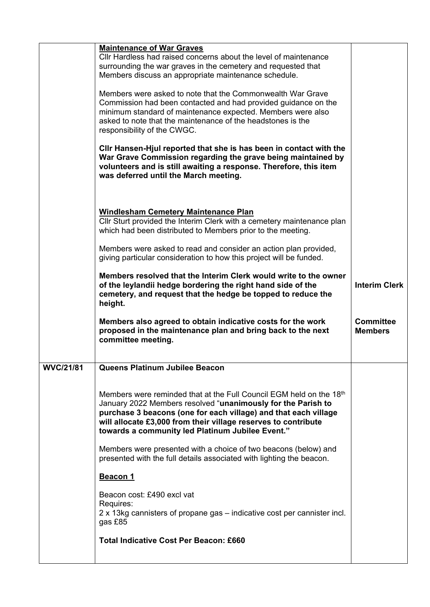|                  | <b>Maintenance of War Graves</b>                                                                                                                                                                                                                                                                                             |                                    |
|------------------|------------------------------------------------------------------------------------------------------------------------------------------------------------------------------------------------------------------------------------------------------------------------------------------------------------------------------|------------------------------------|
|                  | Cllr Hardless had raised concerns about the level of maintenance<br>surrounding the war graves in the cemetery and requested that<br>Members discuss an appropriate maintenance schedule.                                                                                                                                    |                                    |
|                  | Members were asked to note that the Commonwealth War Grave<br>Commission had been contacted and had provided guidance on the<br>minimum standard of maintenance expected. Members were also<br>asked to note that the maintenance of the headstones is the<br>responsibility of the CWGC.                                    |                                    |
|                  | CIIr Hansen-Hjul reported that she is has been in contact with the<br>War Grave Commission regarding the grave being maintained by<br>volunteers and is still awaiting a response. Therefore, this item<br>was deferred until the March meeting.                                                                             |                                    |
|                  | <b>Windlesham Cemetery Maintenance Plan</b><br>Cllr Sturt provided the Interim Clerk with a cemetery maintenance plan<br>which had been distributed to Members prior to the meeting.                                                                                                                                         |                                    |
|                  | Members were asked to read and consider an action plan provided,<br>giving particular consideration to how this project will be funded.                                                                                                                                                                                      |                                    |
|                  | Members resolved that the Interim Clerk would write to the owner<br>of the leylandii hedge bordering the right hand side of the<br>cemetery, and request that the hedge be topped to reduce the<br>height.                                                                                                                   | <b>Interim Clerk</b>               |
|                  |                                                                                                                                                                                                                                                                                                                              |                                    |
|                  | Members also agreed to obtain indicative costs for the work<br>proposed in the maintenance plan and bring back to the next<br>committee meeting.                                                                                                                                                                             | <b>Committee</b><br><b>Members</b> |
| <b>WVC/21/81</b> | Queens Platinum Jubilee Beacon                                                                                                                                                                                                                                                                                               |                                    |
|                  | Members were reminded that at the Full Council EGM held on the 18th<br>January 2022 Members resolved "unanimously for the Parish to<br>purchase 3 beacons (one for each village) and that each village<br>will allocate £3,000 from their village reserves to contribute<br>towards a community led Platinum Jubilee Event." |                                    |
|                  | Members were presented with a choice of two beacons (below) and<br>presented with the full details associated with lighting the beacon.                                                                                                                                                                                      |                                    |
|                  | <u>Beacon 1</u>                                                                                                                                                                                                                                                                                                              |                                    |
|                  | Beacon cost: £490 excl vat<br>Requires:<br>2 x 13kg cannisters of propane gas – indicative cost per cannister incl.<br>gas £85                                                                                                                                                                                               |                                    |
|                  | <b>Total Indicative Cost Per Beacon: £660</b>                                                                                                                                                                                                                                                                                |                                    |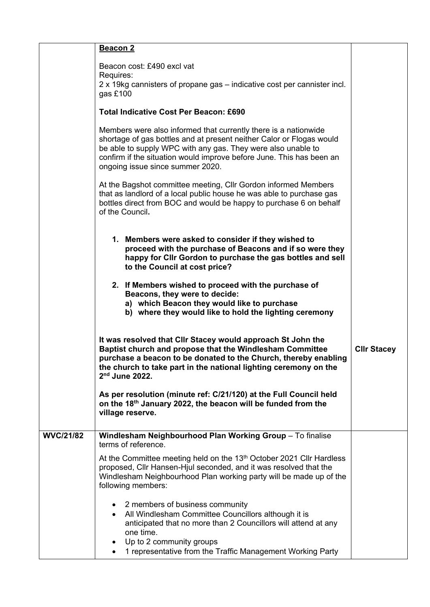|                  | Beacon 2                                                                                                                                                                                                                                                                                                            |                    |
|------------------|---------------------------------------------------------------------------------------------------------------------------------------------------------------------------------------------------------------------------------------------------------------------------------------------------------------------|--------------------|
|                  | Beacon cost: £490 excl vat<br>Requires:<br>2 x 19kg cannisters of propane gas – indicative cost per cannister incl.<br>gas $£100$                                                                                                                                                                                   |                    |
|                  | <b>Total Indicative Cost Per Beacon: £690</b>                                                                                                                                                                                                                                                                       |                    |
|                  | Members were also informed that currently there is a nationwide<br>shortage of gas bottles and at present neither Calor or Flogas would<br>be able to supply WPC with any gas. They were also unable to<br>confirm if the situation would improve before June. This has been an<br>ongoing issue since summer 2020. |                    |
|                  | At the Bagshot committee meeting, CIIr Gordon informed Members<br>that as landlord of a local public house he was able to purchase gas<br>bottles direct from BOC and would be happy to purchase 6 on behalf<br>of the Council.                                                                                     |                    |
|                  | 1. Members were asked to consider if they wished to<br>proceed with the purchase of Beacons and if so were they<br>happy for Cllr Gordon to purchase the gas bottles and sell<br>to the Council at cost price?                                                                                                      |                    |
|                  | 2. If Members wished to proceed with the purchase of<br>Beacons, they were to decide:<br>a) which Beacon they would like to purchase<br>b) where they would like to hold the lighting ceremony                                                                                                                      |                    |
|                  | It was resolved that Clir Stacey would approach St John the<br>Baptist church and propose that the Windlesham Committee<br>purchase a beacon to be donated to the Church, thereby enabling<br>the church to take part in the national lighting ceremony on the<br>2 <sup>nd</sup> June 2022.                        | <b>CIIr Stacey</b> |
|                  | As per resolution (minute ref: C/21/120) at the Full Council held<br>on the 18 <sup>th</sup> January 2022, the beacon will be funded from the<br>village reserve.                                                                                                                                                   |                    |
| <b>WVC/21/82</b> | Windlesham Neighbourhood Plan Working Group - To finalise<br>terms of reference.                                                                                                                                                                                                                                    |                    |
|                  | At the Committee meeting held on the 13 <sup>th</sup> October 2021 Cllr Hardless<br>proposed, Cllr Hansen-Hjul seconded, and it was resolved that the<br>Windlesham Neighbourhood Plan working party will be made up of the<br>following members:                                                                   |                    |
|                  | • 2 members of business community<br>All Windlesham Committee Councillors although it is<br>$\bullet$<br>anticipated that no more than 2 Councillors will attend at any<br>one time.<br>Up to 2 community groups<br>1 representative from the Traffic Management Working Party                                      |                    |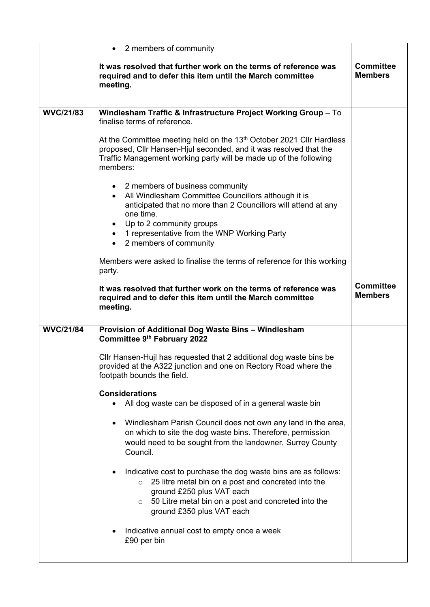|                  | • 2 members of community                                                                                                                                                                                                                                          |                                    |
|------------------|-------------------------------------------------------------------------------------------------------------------------------------------------------------------------------------------------------------------------------------------------------------------|------------------------------------|
|                  | It was resolved that further work on the terms of reference was<br>required and to defer this item until the March committee<br>meeting.                                                                                                                          | <b>Committee</b><br><b>Members</b> |
|                  |                                                                                                                                                                                                                                                                   |                                    |
| <b>WVC/21/83</b> | Windlesham Traffic & Infrastructure Project Working Group - To<br>finalise terms of reference.                                                                                                                                                                    |                                    |
|                  | At the Committee meeting held on the 13 <sup>th</sup> October 2021 Cllr Hardless<br>proposed, Cllr Hansen-Hjul seconded, and it was resolved that the<br>Traffic Management working party will be made up of the following<br>members:                            |                                    |
|                  | • 2 members of business community<br>All Windlesham Committee Councillors although it is<br>anticipated that no more than 2 Councillors will attend at any<br>one time.                                                                                           |                                    |
|                  | • Up to 2 community groups                                                                                                                                                                                                                                        |                                    |
|                  | • 1 representative from the WNP Working Party                                                                                                                                                                                                                     |                                    |
|                  | • 2 members of community                                                                                                                                                                                                                                          |                                    |
|                  | Members were asked to finalise the terms of reference for this working<br>party.                                                                                                                                                                                  |                                    |
|                  | It was resolved that further work on the terms of reference was<br>required and to defer this item until the March committee<br>meeting.                                                                                                                          | <b>Committee</b><br><b>Members</b> |
| <b>WVC/21/84</b> | Provision of Additional Dog Waste Bins - Windlesham<br>Committee 9th February 2022                                                                                                                                                                                |                                    |
|                  | CIIr Hansen-Hujl has requested that 2 additional dog waste bins be<br>provided at the A322 junction and one on Rectory Road where the<br>footpath bounds the field.                                                                                               |                                    |
|                  | <b>Considerations</b>                                                                                                                                                                                                                                             |                                    |
|                  | All dog waste can be disposed of in a general waste bin<br>٠                                                                                                                                                                                                      |                                    |
|                  | Windlesham Parish Council does not own any land in the area,<br>on which to site the dog waste bins. Therefore, permission<br>would need to be sought from the landowner, Surrey County<br>Council.                                                               |                                    |
|                  | Indicative cost to purchase the dog waste bins are as follows:<br>٠<br>25 litre metal bin on a post and concreted into the<br>$\circ$<br>ground £250 plus VAT each<br>50 Litre metal bin on a post and concreted into the<br>$\circ$<br>ground £350 plus VAT each |                                    |
|                  | Indicative annual cost to empty once a week<br>£90 per bin                                                                                                                                                                                                        |                                    |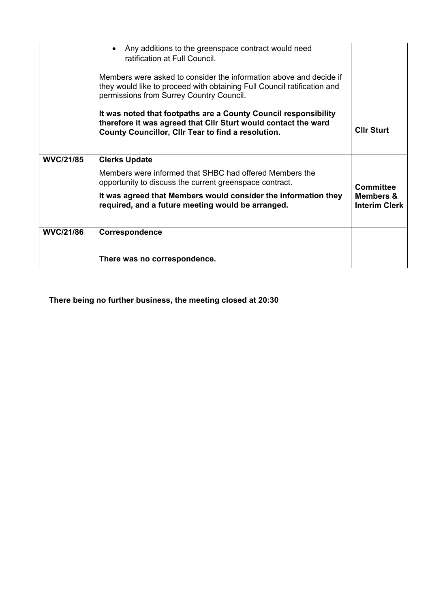|                  | Any additions to the greenspace contract would need<br>$\bullet$<br>ratification at Full Council.<br>Members were asked to consider the information above and decide if<br>they would like to proceed with obtaining Full Council ratification and<br>permissions from Surrey Country Council. |                                              |
|------------------|------------------------------------------------------------------------------------------------------------------------------------------------------------------------------------------------------------------------------------------------------------------------------------------------|----------------------------------------------|
|                  | It was noted that footpaths are a County Council responsibility<br>therefore it was agreed that CIIr Sturt would contact the ward<br>County Councillor, Cllr Tear to find a resolution.                                                                                                        | <b>Clir Sturt</b>                            |
| <b>WVC/21/85</b> | <b>Clerks Update</b>                                                                                                                                                                                                                                                                           |                                              |
|                  | Members were informed that SHBC had offered Members the<br>opportunity to discuss the current greenspace contract.                                                                                                                                                                             | <b>Committee</b>                             |
|                  | It was agreed that Members would consider the information they<br>required, and a future meeting would be arranged.                                                                                                                                                                            | <b>Members &amp;</b><br><b>Interim Clerk</b> |
| <b>WVC/21/86</b> | <b>Correspondence</b>                                                                                                                                                                                                                                                                          |                                              |
|                  |                                                                                                                                                                                                                                                                                                |                                              |
|                  | There was no correspondence.                                                                                                                                                                                                                                                                   |                                              |

**There being no further business, the meeting closed at 20:30**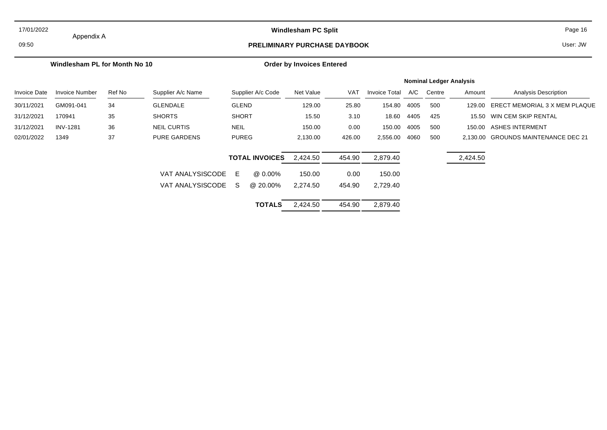#### 17/01/2022

## Appendix A

#### **Windlesham PC Split** Page 16

## 09:50 **PRELIMINARY PURCHASE DAYBOOK**

User: JW

#### **Windlesham PL for Month No 10**

#### **Order by Invoices Entered**

|                     |                       |        |                     |              |                       |           |            |                      |      | <b>Nominal Ledger Analysis</b> |          |                                     |
|---------------------|-----------------------|--------|---------------------|--------------|-----------------------|-----------|------------|----------------------|------|--------------------------------|----------|-------------------------------------|
| <b>Invoice Date</b> | <b>Invoice Number</b> | Ref No | Supplier A/c Name   |              | Supplier A/c Code     | Net Value | <b>VAT</b> | <b>Invoice Total</b> | A/C  | Centre                         | Amount   | <b>Analysis Description</b>         |
| 30/11/2021          | GM091-041             | 34     | <b>GLENDALE</b>     | <b>GLEND</b> |                       | 129.00    | 25.80      | 154.80               | 4005 | 500                            | 129.00   | ERECT MEMORIAL 3 X MEM PLAQUE       |
| 31/12/2021          | 170941                | 35     | <b>SHORTS</b>       | <b>SHORT</b> |                       | 15.50     | 3.10       | 18.60                | 4405 | 425                            | 15.50    | WIN CEM SKIP RENTAL                 |
| 31/12/2021          | <b>INV-1281</b>       | 36     | NEIL CURTIS         | <b>NEIL</b>  |                       | 150.00    | 0.00       | 150.00               | 4005 | 500                            | 150.00   | ASHES INTERMENT                     |
| 02/01/2022          | 1349                  | 37     | <b>PURE GARDENS</b> | <b>PUREG</b> |                       | 2,130.00  | 426.00     | 2,556.00             | 4060 | 500                            |          | 2.130.00 GROUNDS MAINTENANCE DEC 21 |
|                     |                       |        |                     |              | <b>TOTAL INVOICES</b> | 2.424.50  | 454.90     | 2.879.40             |      |                                | 2,424.50 |                                     |
|                     |                       |        | VAT ANALYSISCODE E  |              | @ 0.00%               | 150.00    | 0.00       | 150.00               |      |                                |          |                                     |
|                     |                       |        | VAT ANALYSISCODE    | -S           | @ 20.00%              | 2.274.50  | 454.90     | 2.729.40             |      |                                |          |                                     |

| <b>TOTALS</b> | 2,424.50 | 454.90 | 2,879.40 |
|---------------|----------|--------|----------|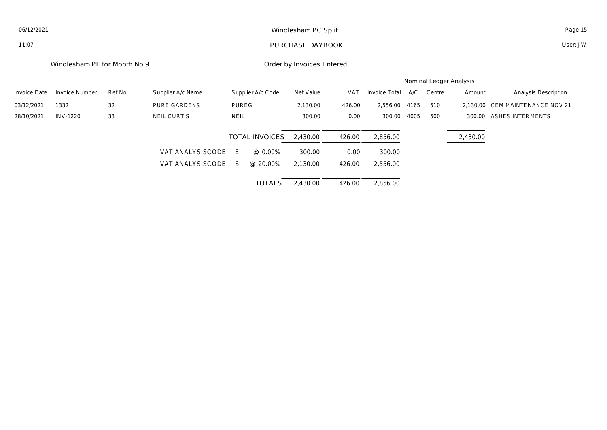| 06/12/2021   | Windlesham PC Split          |        |                     |                  |                       |                           |            |               |      |                         |          | Page 15                 |
|--------------|------------------------------|--------|---------------------|------------------|-----------------------|---------------------------|------------|---------------|------|-------------------------|----------|-------------------------|
| 11:07        |                              |        |                     | PURCHASE DAYBOOK |                       |                           |            |               |      |                         |          | User: JW                |
|              | Windlesham PL for Month No 9 |        |                     |                  |                       | Order by Invoices Entered |            |               |      |                         |          |                         |
|              |                              |        |                     |                  |                       |                           |            |               |      | Nominal Ledger Analysis |          |                         |
| Invoice Date | <b>Invoice Number</b>        | Ref No | Supplier A/c Name   |                  | Supplier A/c Code     | Net Value                 | <b>VAT</b> | Invoice Total | A/C  | Centre                  | Amount   | Analysis Description    |
| 03/12/2021   | 1332                         | 32     | <b>PURE GARDENS</b> | <b>PUREG</b>     |                       | 2,130.00                  | 426.00     | 2,556.00      | 4165 | 510                     | 2,130.00 | CEM MAINTENANCE NOV 21  |
| 28/10/2021   | <b>INV-1220</b>              | 33     | NEIL CURTIS         | <b>NEIL</b>      |                       | 300.00                    | 0.00       | 300.00        | 4005 | 500                     | 300.00   | <b>ASHES INTERMENTS</b> |
|              |                              |        |                     |                  | <b>TOTAL INVOICES</b> | 2,430.00                  | 426.00     | 2,856.00      |      |                         | 2,430.00 |                         |
|              |                              |        | VAT ANALYSISCODE    | E                | @ 0.00%               | 300.00                    | 0.00       | 300.00        |      |                         |          |                         |
|              |                              |        | VAT ANALYSISCODE    | S.               | @ 20.00%              | 2,130.00                  | 426.00     | 2,556.00      |      |                         |          |                         |
|              |                              |        |                     |                  | <b>TOTALS</b>         | 2,430.00                  | 426.00     | 2,856.00      |      |                         |          |                         |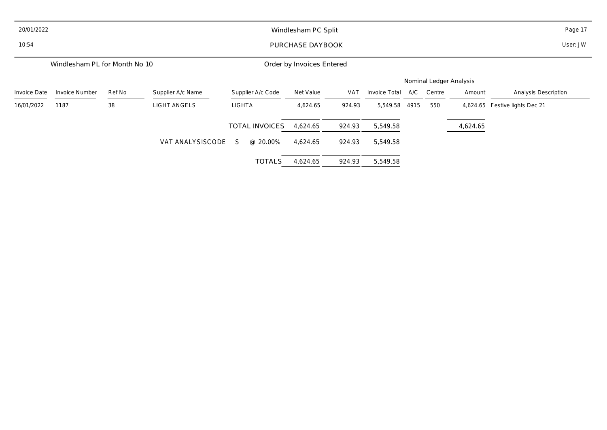| 20/01/2022   |                               |        |                     | Windlesham PC Split   |                           | Page 17    |               |      |                         |          |                                |
|--------------|-------------------------------|--------|---------------------|-----------------------|---------------------------|------------|---------------|------|-------------------------|----------|--------------------------------|
| 10:54        | PURCHASE DAYBOOK              |        |                     |                       |                           |            |               |      |                         |          | User: JW                       |
|              | Windlesham PL for Month No 10 |        |                     |                       | Order by Invoices Entered |            |               |      |                         |          |                                |
|              |                               |        |                     |                       |                           |            |               |      | Nominal Ledger Analysis |          |                                |
| Invoice Date | <b>Invoice Number</b>         | Ref No | Supplier A/c Name   | Supplier A/c Code     | Net Value                 | <b>VAT</b> | Invoice Total | A/C  | Centre                  | Amount   | <b>Analysis Description</b>    |
| 16/01/2022   | 1187                          | 38     | <b>LIGHT ANGELS</b> | LIGHTA                | 4,624.65                  | 924.93     | 5,549.58      | 4915 | 550                     |          | 4,624.65 Festive lights Dec 21 |
|              |                               |        |                     | <b>TOTAL INVOICES</b> | 4,624.65                  | 924.93     | 5,549.58      |      |                         | 4,624.65 |                                |
|              |                               |        | VAT ANALYSISCODE    | @ 20.00%<br>S.        | 4,624.65                  | 924.93     | 5,549.58      |      |                         |          |                                |
|              |                               |        |                     | <b>TOTALS</b>         | 4,624.65                  | 924.93     | 5,549.58      |      |                         |          |                                |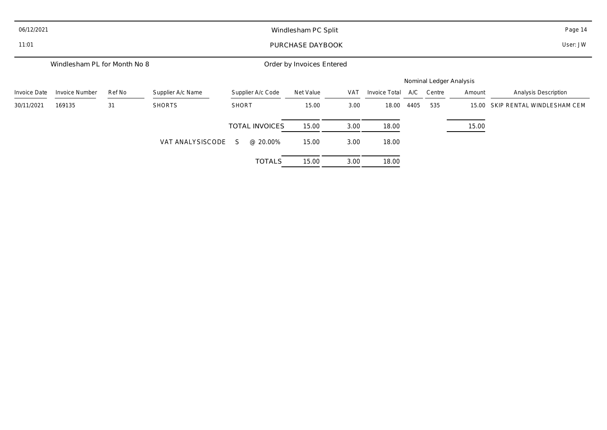| 06/12/2021   | Windlesham PC Split          |        |                   |                       |                           |            |               |      |                         |        | Page 14                     |
|--------------|------------------------------|--------|-------------------|-----------------------|---------------------------|------------|---------------|------|-------------------------|--------|-----------------------------|
| 11:01        | PURCHASE DAYBOOK             |        |                   |                       |                           |            |               |      |                         |        | User: JW                    |
|              | Windlesham PL for Month No 8 |        |                   |                       | Order by Invoices Entered |            |               |      |                         |        |                             |
|              |                              |        |                   |                       |                           |            |               |      | Nominal Ledger Analysis |        |                             |
| Invoice Date | Invoice Number               | Ref No | Supplier A/c Name | Supplier A/c Code     | Net Value                 | <b>VAT</b> | Invoice Total | A/C  | Centre                  | Amount | <b>Analysis Description</b> |
| 30/11/2021   | 169135                       | 31     | <b>SHORTS</b>     | <b>SHORT</b>          | 15.00                     | 3.00       | 18.00         | 4405 | 535                     | 15.00  | SKIP RENTAL WINDLESHAM CEM  |
|              |                              |        |                   | <b>TOTAL INVOICES</b> | 15.00                     | 3.00       | 18.00         |      |                         | 15.00  |                             |
|              |                              |        | VAT ANALYSISCODE  | @ 20.00%<br>S.        | 15.00                     | 3.00       | 18.00         |      |                         |        |                             |
|              |                              |        |                   | <b>TOTALS</b>         | 15.00                     | 3.00       | 18.00         |      |                         |        |                             |